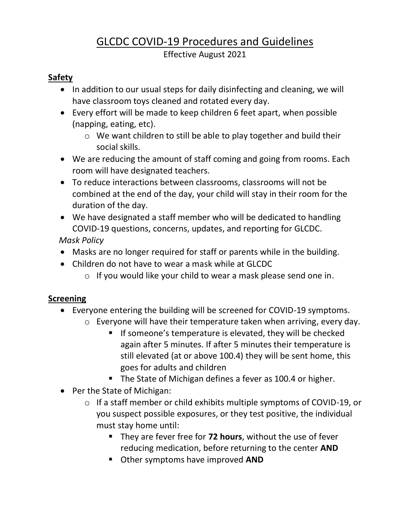# GLCDC COVID-19 Procedures and Guidelines

Effective August 2021

#### **Safety**

- In addition to our usual steps for daily disinfecting and cleaning, we will have classroom toys cleaned and rotated every day.
- Every effort will be made to keep children 6 feet apart, when possible (napping, eating, etc).
	- o We want children to still be able to play together and build their social skills.
- We are reducing the amount of staff coming and going from rooms. Each room will have designated teachers.
- To reduce interactions between classrooms, classrooms will not be combined at the end of the day, your child will stay in their room for the duration of the day.
- We have designated a staff member who will be dedicated to handling COVID-19 questions, concerns, updates, and reporting for GLCDC.

 *Mask Policy*

- Masks are no longer required for staff or parents while in the building.
- Children do not have to wear a mask while at GLCDC
	- o If you would like your child to wear a mask please send one in.

#### **Screening**

- Everyone entering the building will be screened for COVID-19 symptoms.
	- o Everyone will have their temperature taken when arriving, every day.
		- If someone's temperature is elevated, they will be checked again after 5 minutes. If after 5 minutes their temperature is still elevated (at or above 100.4) they will be sent home, this goes for adults and children
		- The State of Michigan defines a fever as 100.4 or higher.
- Per the State of Michigan:
	- o If a staff member or child exhibits multiple symptoms of COVID-19, or you suspect possible exposures, or they test positive, the individual must stay home until:
		- They are fever free for **72 hours**, without the use of fever reducing medication, before returning to the center **AND**
		- Other symptoms have improved **AND**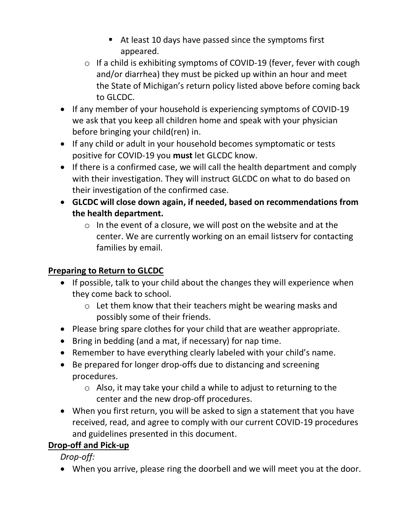- At least 10 days have passed since the symptoms first appeared.
- o If a child is exhibiting symptoms of COVID-19 (fever, fever with cough and/or diarrhea) they must be picked up within an hour and meet the State of Michigan's return policy listed above before coming back to GLCDC.
- If any member of your household is experiencing symptoms of COVID-19 we ask that you keep all children home and speak with your physician before bringing your child(ren) in.
- If any child or adult in your household becomes symptomatic or tests positive for COVID-19 you **must** let GLCDC know.
- If there is a confirmed case, we will call the health department and comply with their investigation. They will instruct GLCDC on what to do based on their investigation of the confirmed case.
- **GLCDC will close down again, if needed, based on recommendations from the health department.**
	- $\circ$  In the event of a closure, we will post on the website and at the center. We are currently working on an email listserv for contacting families by email.

### **Preparing to Return to GLCDC**

- If possible, talk to your child about the changes they will experience when they come back to school.
	- o Let them know that their teachers might be wearing masks and possibly some of their friends.
- Please bring spare clothes for your child that are weather appropriate.
- Bring in bedding (and a mat, if necessary) for nap time.
- Remember to have everything clearly labeled with your child's name.
- Be prepared for longer drop-offs due to distancing and screening procedures.
	- $\circ$  Also, it may take your child a while to adjust to returning to the center and the new drop-off procedures.
- When you first return, you will be asked to sign a statement that you have received, read, and agree to comply with our current COVID-19 procedures and guidelines presented in this document.

# **Drop-off and Pick-up**

*Drop-off:*

• When you arrive, please ring the doorbell and we will meet you at the door.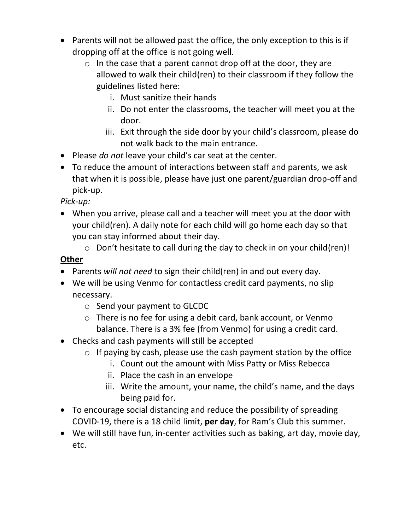- Parents will not be allowed past the office, the only exception to this is if dropping off at the office is not going well.
	- $\circ$  In the case that a parent cannot drop off at the door, they are allowed to walk their child(ren) to their classroom if they follow the guidelines listed here:
		- i. Must sanitize their hands
		- ii. Do not enter the classrooms, the teacher will meet you at the door.
		- iii. Exit through the side door by your child's classroom, please do not walk back to the main entrance.
- Please *do not* leave your child's car seat at the center.
- To reduce the amount of interactions between staff and parents, we ask that when it is possible, please have just one parent/guardian drop-off and pick-up.

*Pick-up:*

- When you arrive, please call and a teacher will meet you at the door with your child(ren). A daily note for each child will go home each day so that you can stay informed about their day.
	- o Don't hesitate to call during the day to check in on your child(ren)!

## **Other**

- Parents *will not need* to sign their child(ren) in and out every day.
- We will be using Venmo for contactless credit card payments, no slip necessary.
	- o Send your payment to GLCDC
	- o There is no fee for using a debit card, bank account, or Venmo balance. There is a 3% fee (from Venmo) for using a credit card.
- Checks and cash payments will still be accepted
	- $\circ$  If paying by cash, please use the cash payment station by the office
		- i. Count out the amount with Miss Patty or Miss Rebecca
		- ii. Place the cash in an envelope
		- iii. Write the amount, your name, the child's name, and the days being paid for.
- To encourage social distancing and reduce the possibility of spreading COVID-19, there is a 18 child limit, **per day**, for Ram's Club this summer.
- We will still have fun, in-center activities such as baking, art day, movie day, etc.